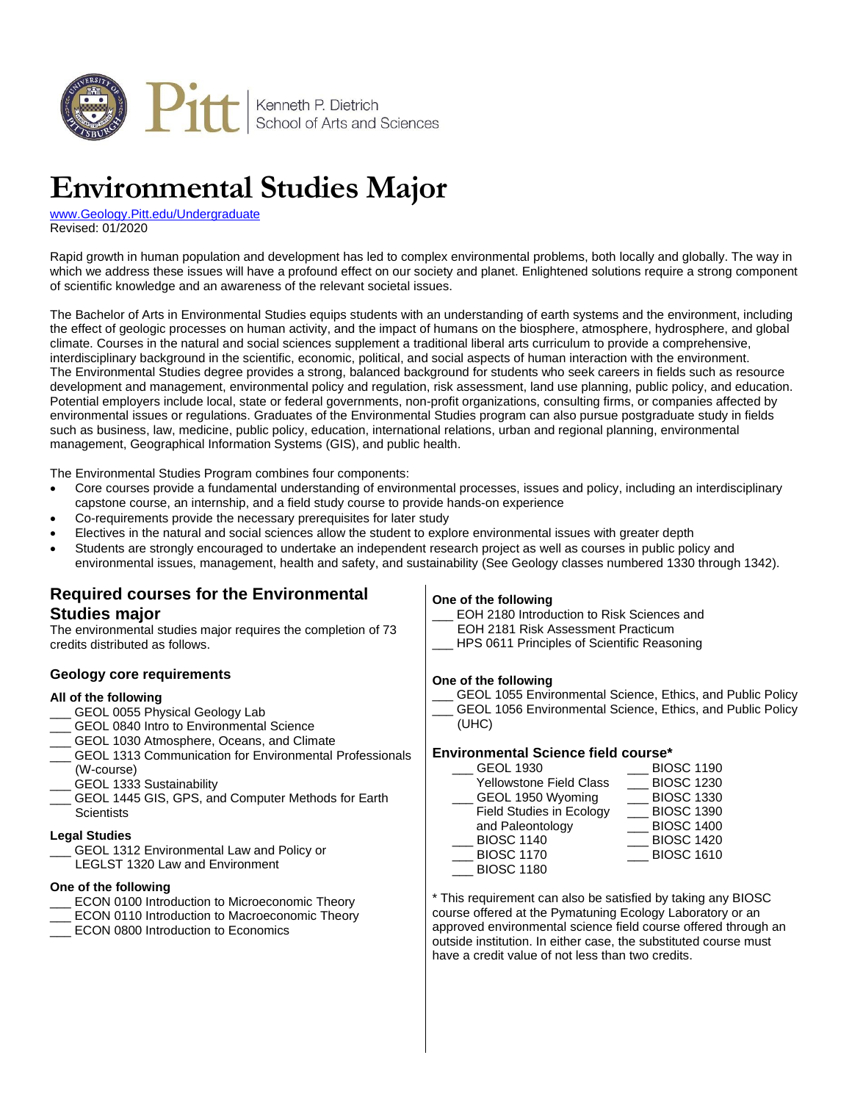

# **Environmental Studies Major**

[www.Geology.Pitt.edu/Undergraduate](http://www.geology.pitt.edu/undergraduate) Revised: 01/2020

Rapid growth in human population and development has led to complex environmental problems, both locally and globally. The way in which we address these issues will have a profound effect on our society and planet. Enlightened solutions require a strong component of scientific knowledge and an awareness of the relevant societal issues.

The Bachelor of Arts in Environmental Studies equips students with an understanding of earth systems and the environment, including the effect of geologic processes on human activity, and the impact of humans on the biosphere, atmosphere, hydrosphere, and global climate. Courses in the natural and social sciences supplement a traditional liberal arts curriculum to provide a comprehensive, interdisciplinary background in the scientific, economic, political, and social aspects of human interaction with the environment. The Environmental Studies degree provides a strong, balanced background for students who seek careers in fields such as resource development and management, environmental policy and regulation, risk assessment, land use planning, public policy, and education. Potential employers include local, state or federal governments, non-profit organizations, consulting firms, or companies affected by environmental issues or regulations. Graduates of the Environmental Studies program can also pursue postgraduate study in fields such as business, law, medicine, public policy, education, international relations, urban and regional planning, environmental management, Geographical Information Systems (GIS), and public health.

The Environmental Studies Program combines four components:

- Core courses provide a fundamental understanding of environmental processes, issues and policy, including an interdisciplinary capstone course, an internship, and a field study course to provide hands-on experience
- Co-requirements provide the necessary prerequisites for later study
- Electives in the natural and social sciences allow the student to explore environmental issues with greater depth
- Students are strongly encouraged to undertake an independent research project as well as courses in public policy and environmental issues, management, health and safety, and sustainability (See Geology classes numbered 1330 through 1342).

### **Required courses for the Environmental Studies major**

The environmental studies major requires the completion of 73 credits distributed as follows.

#### **Geology core requirements**

#### **All of the following**

- GEOL 0055 Physical Geology Lab
- GEOL 0840 Intro to Environmental Science
- GEOL 1030 Atmosphere, Oceans, and Climate
- GEOL 1313 Communication for Environmental Professionals (W-course)
- GEOL 1333 Sustainability
- GEOL 1445 GIS, GPS, and Computer Methods for Earth **Scientists**

#### **Legal Studies**

GEOL 1312 Environmental Law and Policy or

LEGLST 1320 Law and Environment

#### **One of the following**

- ECON 0100 Introduction to Microeconomic Theory
- ECON 0110 Introduction to Macroeconomic Theory
- \_\_\_ ECON 0800 Introduction to Economics

#### **One of the following**

EOH 2180 Introduction to Risk Sciences and EOH 2181 Risk Assessment Practicum

HPS 0611 Principles of Scientific Reasoning

#### **One of the following**

GEOL 1055 Environmental Science, Ethics, and Public Policy GEOL 1056 Environmental Science, Ethics, and Public Policy (UHC)

#### **Environmental Science field course\***

| <b>GEOL 1930</b>                | <b>BIOSC 1190</b> |
|---------------------------------|-------------------|
| <b>Yellowstone Field Class</b>  | <b>BIOSC 1230</b> |
| GEOL 1950 Wyoming               | <b>BIOSC 1330</b> |
| <b>Field Studies in Ecology</b> | <b>BIOSC 1390</b> |
| and Paleontology                | <b>BIOSC 1400</b> |
| <b>BIOSC 1140</b>               | <b>BIOSC 1420</b> |
| <b>BIOSC 1170</b>               | <b>BIOSC 1610</b> |
| <b>BIOSC 1180</b>               |                   |

\* This requirement can also be satisfied by taking any BIOSC course offered at the Pymatuning Ecology Laboratory or an approved environmental science field course offered through an outside institution. In either case, the substituted course must have a credit value of not less than two credits.